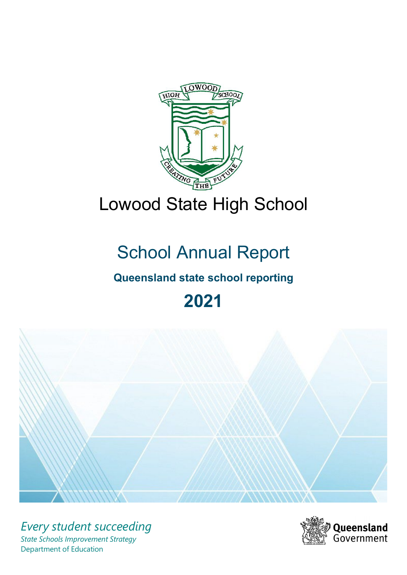

# Lowood State High School

# School Annual Report

# **Queensland state school reporting**

# **2021**



*Every student succeeding State Schools Improvement Strategy* Department of Education

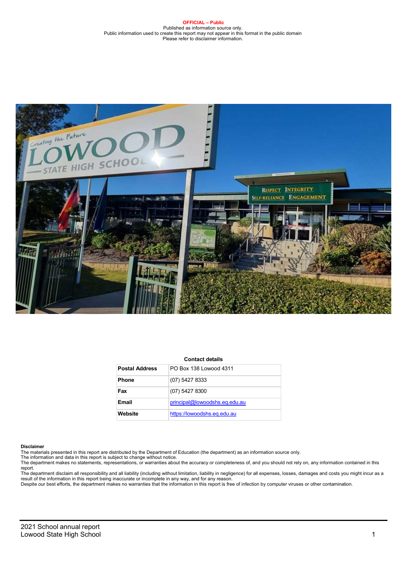#### **OFFICIAL – Public** Published as information source only. Public information used to create this report may not appear in this format in the public domain Please refer to disclaimer information.



#### **Contact details**

| <b>Postal Address</b> | PO Box 138 Lowood 4311        |
|-----------------------|-------------------------------|
| <b>Phone</b>          | $(07)$ 5427 8333              |
| Fax                   | $(07)$ 5427 8300              |
| Email                 | principal@lowoodshs.eq.edu.au |
| Website               | https://lowoodshs.eq.edu.au   |

#### **Disclaimer**

The materials presented in this report are distributed by the Department of Education (the department) as an information source only.

The information and data in this report is subject to change without notice.<br>The department makes no statements, representations, or warranties about the accuracy or completeness of, and you should not rely on, any informa report.

The department disclaim all responsibility and all liability (including without limitation, liability in negligence) for all expenses, losses, damages and costs you might incur as a result of the information in this report being inaccurate or incomplete in any way, and for any reason.<br>Despite our best efforts, the department makes no warranties that the information in this report is free of infection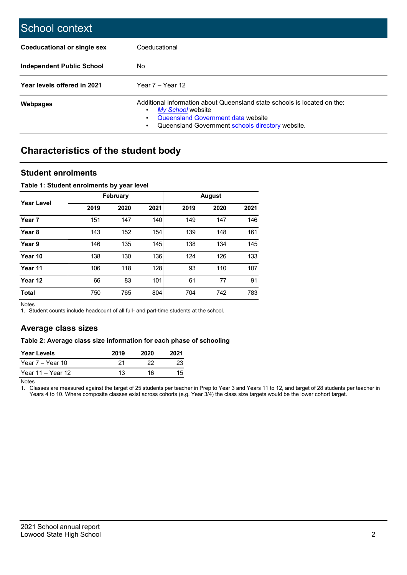| School context              |                                                                                                                                                                                                     |
|-----------------------------|-----------------------------------------------------------------------------------------------------------------------------------------------------------------------------------------------------|
| Coeducational or single sex | Coeducational                                                                                                                                                                                       |
| Independent Public School   | No.                                                                                                                                                                                                 |
| Year levels offered in 2021 | Year $7 -$ Year 12                                                                                                                                                                                  |
| Webpages                    | Additional information about Queensland state schools is located on the:<br>My School website<br><b>Queensland Government data website</b><br>٠<br>Queensland Government schools directory website. |

# **Characteristics of the student body**

### **Student enrolments**

### **Table 1: Student enrolments by year level**

|                   |      | February |      |      | <b>August</b> |      |
|-------------------|------|----------|------|------|---------------|------|
| <b>Year Level</b> | 2019 | 2020     | 2021 | 2019 | 2020          | 2021 |
| Year 7            | 151  | 147      | 140  | 149  | 147           | 146  |
| Year <sub>8</sub> | 143  | 152      | 154  | 139  | 148           | 161  |
| Year 9            | 146  | 135      | 145  | 138  | 134           | 145  |
| Year 10           | 138  | 130      | 136  | 124  | 126           | 133  |
| Year 11           | 106  | 118      | 128  | 93   | 110           | 107  |
| Year 12           | 66   | 83       | 101  | 61   | 77            | 91   |
| <b>Total</b>      | 750  | 765      | 804  | 704  | 742           | 783  |

Notes

1. Student counts include headcount of all full- and part-time students at the school.

## **Average class sizes**

### **Table 2: Average class size information for each phase of schooling**

| <b>Year Levels</b> | 2019 | 2020 |    |
|--------------------|------|------|----|
| Year $7 -$ Year 10 | 21   | つつ   |    |
| Year 11 – Year 12  | 13   | 16   | 15 |

Notes

1. Classes are measured against the target of 25 students per teacher in Prep to Year 3 and Years 11 to 12, and target of 28 students per teacher in Years 4 to 10. Where composite classes exist across cohorts (e.g. Year 3/4) the class size targets would be the lower cohort target.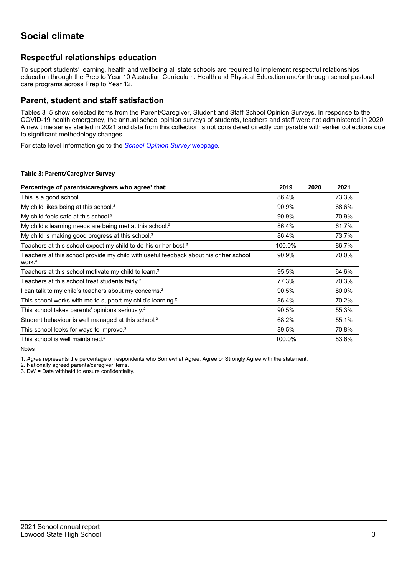### **Respectful relationships education**

To support students' learning, health and wellbeing all state schools are required to implement respectful relationships education through the Prep to Year 10 Australian Curriculum: Health and Physical Education and/or through school pastoral care programs across Prep to Year 12.

### **Parent, student and staff satisfaction**

Tables 3–5 show selected items from the Parent/Caregiver, Student and Staff School Opinion Surveys. In response to the COVID-19 health emergency, the annual school opinion surveys of students, teachers and staff were not administered in 2020. A new time series started in 2021 and data from this collection is not considered directly comparable with earlier collections due to significant methodology changes.

For state level information go to the *[School Opinion Survey](https://qed.qld.gov.au/publications/reports/statistics/schooling/schools/schoolopinionsurvey)* [webpage.](https://qed.qld.gov.au/publications/reports/statistics/schooling/schools/schoolopinionsurvey)

### **Table 3: Parent/Caregiver Survey**

| Percentage of parents/caregivers who agree <sup>1</sup> that:                                               | 2019   | 2020 | 2021  |
|-------------------------------------------------------------------------------------------------------------|--------|------|-------|
| This is a good school.                                                                                      | 86.4%  |      | 73.3% |
| My child likes being at this school. <sup>2</sup>                                                           | 90.9%  |      | 68.6% |
| My child feels safe at this school. <sup>2</sup>                                                            | 90.9%  |      | 70.9% |
| My child's learning needs are being met at this school. <sup>2</sup>                                        | 86.4%  |      | 61.7% |
| My child is making good progress at this school. <sup>2</sup>                                               | 86.4%  |      | 73.7% |
| Teachers at this school expect my child to do his or her best. <sup>2</sup>                                 | 100.0% |      | 86.7% |
| Teachers at this school provide my child with useful feedback about his or her school<br>work. <sup>2</sup> | 90.9%  |      | 70.0% |
| Teachers at this school motivate my child to learn. <sup>2</sup>                                            | 95.5%  |      | 64.6% |
| Teachers at this school treat students fairly. <sup>2</sup>                                                 | 77.3%  |      | 70.3% |
| I can talk to my child's teachers about my concerns. <sup>2</sup>                                           | 90.5%  |      | 80.0% |
| This school works with me to support my child's learning. <sup>2</sup>                                      | 86.4%  |      | 70.2% |
| This school takes parents' opinions seriously. <sup>2</sup>                                                 | 90.5%  |      | 55.3% |
| Student behaviour is well managed at this school. <sup>2</sup>                                              | 68.2%  |      | 55.1% |
| This school looks for ways to improve. <sup>2</sup>                                                         | 89.5%  |      | 70.8% |
| This school is well maintained. <sup>2</sup>                                                                | 100.0% |      | 83.6% |

**Notes** 

1. *Agree* represents the percentage of respondents who Somewhat Agree, Agree or Strongly Agree with the statement.

2. Nationally agreed parents/caregiver items.

3. DW = Data withheld to ensure confidentiality.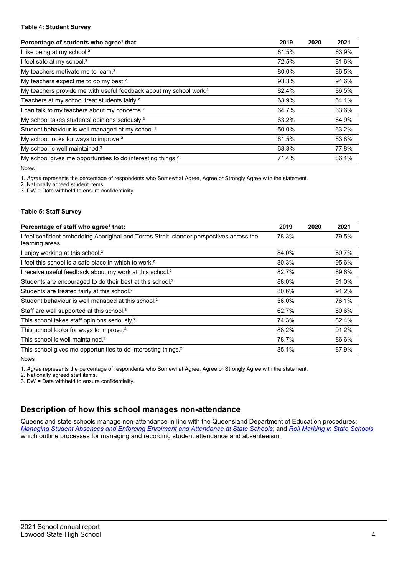#### **Table 4: Student Survey**

| Percentage of students who agree <sup>1</sup> that:                            | 2019  | 2020 | 2021  |
|--------------------------------------------------------------------------------|-------|------|-------|
| I like being at my school. <sup>2</sup>                                        | 81.5% |      | 63.9% |
| I feel safe at my school. <sup>2</sup>                                         | 72.5% |      | 81.6% |
| My teachers motivate me to learn. <sup>2</sup>                                 | 80.0% |      | 86.5% |
| My teachers expect me to do my best. <sup>2</sup>                              | 93.3% |      | 94.6% |
| My teachers provide me with useful feedback about my school work. <sup>2</sup> | 82.4% |      | 86.5% |
| Teachers at my school treat students fairly. <sup>2</sup>                      | 63.9% |      | 64.1% |
| I can talk to my teachers about my concerns. <sup>2</sup>                      | 64.7% |      | 63.6% |
| My school takes students' opinions seriously. <sup>2</sup>                     | 63.2% |      | 64.9% |
| Student behaviour is well managed at my school. <sup>2</sup>                   | 50.0% |      | 63.2% |
| My school looks for ways to improve. <sup>2</sup>                              | 81.5% |      | 83.8% |
| My school is well maintained. <sup>2</sup>                                     | 68.3% |      | 77.8% |
| My school gives me opportunities to do interesting things. <sup>2</sup>        | 71.4% |      | 86.1% |

Notes

1. *Agree* represents the percentage of respondents who Somewhat Agree, Agree or Strongly Agree with the statement.

2. Nationally agreed student items.

3. DW = Data withheld to ensure confidentiality.

#### **Table 5: Staff Survey**

| Percentage of staff who agree <sup>1</sup> that:                                                            | 2019  | 2020 | 2021  |
|-------------------------------------------------------------------------------------------------------------|-------|------|-------|
| I feel confident embedding Aboriginal and Torres Strait Islander perspectives across the<br>learning areas. | 78.3% |      | 79.5% |
| I enjoy working at this school. <sup>2</sup>                                                                | 84.0% |      | 89.7% |
| I feel this school is a safe place in which to work. <sup>2</sup>                                           | 80.3% |      | 95.6% |
| I receive useful feedback about my work at this school. <sup>2</sup>                                        | 82.7% |      | 89.6% |
| Students are encouraged to do their best at this school. <sup>2</sup>                                       | 88.0% |      | 91.0% |
| Students are treated fairly at this school. <sup>2</sup>                                                    | 80.6% |      | 91.2% |
| Student behaviour is well managed at this school. <sup>2</sup>                                              | 56.0% |      | 76.1% |
| Staff are well supported at this school. <sup>2</sup>                                                       | 62.7% |      | 80.6% |
| This school takes staff opinions seriously. <sup>2</sup>                                                    | 74.3% |      | 82.4% |
| This school looks for ways to improve. <sup>2</sup>                                                         | 88.2% |      | 91.2% |
| This school is well maintained. <sup>2</sup>                                                                | 78.7% |      | 86.6% |
| This school gives me opportunities to do interesting things. <sup>2</sup>                                   | 85.1% |      | 87.9% |

Notes

1. *Agree* represents the percentage of respondents who Somewhat Agree, Agree or Strongly Agree with the statement.

2. Nationally agreed staff items.

3. DW = Data withheld to ensure confidentiality.

## **Description of how this school manages non-attendance**

Queensland state schools manage non-attendance in line with the Queensland Department of Education procedures: Managing Student Absences and Enforcing Enrolment and [Attendance](https://ppr.qed.qld.gov.au/pp/managing-student-absences-and-enforcing-enrolment-and-attendance-at-state-schools-procedure) at State [Schools,](https://ppr.qed.qld.gov.au/pp/roll-marking-in-state-schools-procedure) and Roll Marking in State Schools, which outline processes for managing and recording student attendance and absenteeism.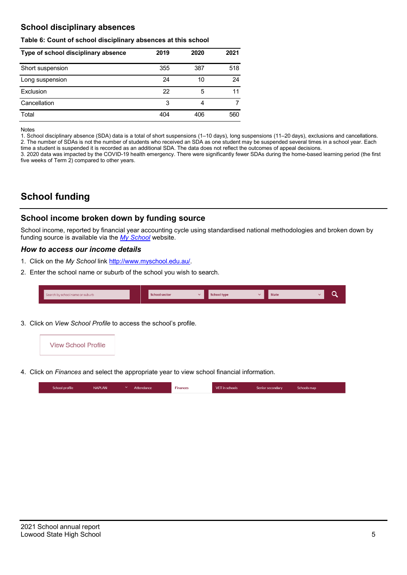## **School disciplinary absences**

### **Table 6: Count of school disciplinary absences at this school**

| Type of school disciplinary absence | 2019 | 2020 | 2021 |
|-------------------------------------|------|------|------|
| Short suspension                    | 355  | 387  | 518  |
| Long suspension                     | 24   | 10   | 24   |
| Exclusion                           | 22   | 5    | 11   |
| Cancellation                        | 3    | 4    |      |
| Total                               | 404  | 406  | 560  |

#### **Notes**

1. School disciplinary absence (SDA) data is a total of short suspensions (1–10 days), long suspensions (11–20 days), exclusions and cancellations. 2. The number of SDAs is not the number of students who received an SDA as one student may be suspended several times in a school year. Each time a student is suspended it is recorded as an additional SDA. The data does not reflect the outcomes of appeal decisions.

3. 2020 data was impacted by the COVID-19 health emergency. There were significantly fewer SDAs during the home-based learning period (the first five weeks of Term 2) compared to other years.

# **School funding**

### **School income broken down by funding source**

School income, reported by financial year accounting cycle using standardised national methodologies and broken down by funding source is available via the *[My School](http://www.myschool.edu.au/)* website.

### *How to access our income details*

- 1. Click on the My School link [http://www.myschool.edu.au/.](http://www.myschool.edu.au/)
- 2. Enter the school name or suburb of the school you wish to search.

| Search by school name or suburb | <b>School sector</b> | <b>School type</b> | <b>State</b> |  |
|---------------------------------|----------------------|--------------------|--------------|--|
|                                 |                      |                    |              |  |

3. Click on *View School Profile* to access the school's profile.



4. Click on *Finances* and select the appropriate year to view school financial information.

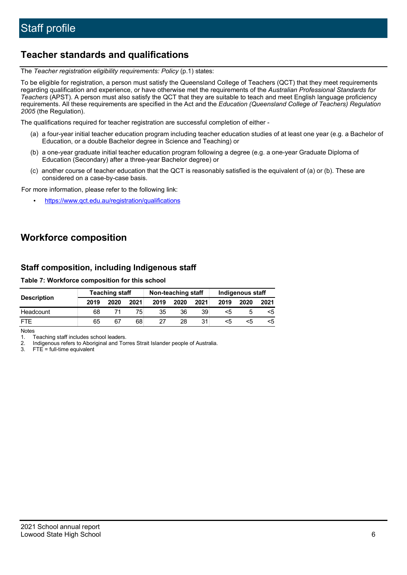# **Teacher standards and qualifications**

The *Teacher registration eligibility requirements: Policy* (p.1) states:

To be eligible for registration, a person must satisfy the Queensland College of Teachers (QCT) that they meet requirements regarding qualification and experience, or have otherwise met the requirements of the *Australian Professional Standards for Teachers* (APST). A person must also satisfy the QCT that they are suitable to teach and meet English language proficiency requirements. All these requirements are specified in the Act and the *Education (Queensland College of Teachers) Regulation 2005* (the Regulation).

The qualifications required for teacher registration are successful completion of either -

- (a) a four-year initial teacher education program including teacher education studies of at least one year (e.g. a Bachelor of Education, or a double Bachelor degree in Science and Teaching) or
- (b) a one-year graduate initial teacher education program following a degree (e.g. a one-year Graduate Diploma of Education (Secondary) after a three-year Bachelor degree) or
- (c) another course of teacher education that the QCT is reasonably satisfied is the equivalent of (a) or (b). These are considered on a case-by-case basis.

For more information, please refer to the following link:

• <https://www.qct.edu.au/registration/qualifications>

# **Workforce composition**

### **Staff composition, including Indigenous staff**

#### **Table 7: Workforce composition for this school**

|                    | <b>Teaching staff</b> |      |      | Non-teaching staff |      |      | Indigenous staff |      |      |
|--------------------|-----------------------|------|------|--------------------|------|------|------------------|------|------|
| <b>Description</b> | 2019                  | 2020 | 2021 | 2019               | 2020 | 2021 | 2019             | 2020 | 2021 |
| Headcount          | 68                    |      | 75.  | 35                 | 36   | 39   | <5               |      |      |
| <b>FTF</b>         | 65                    | 67   | 68   | 27                 | 28   | 31   | <5               | ה>   | ה>   |

Notes<br>1.

1. Teaching staff includes school leaders.<br>2. Indigenous refers to Aboriginal and Tor

2. Indigenous refers to Aboriginal and Torres Strait Islander people of Australia.<br>3. FTE = full-time equivalent

 $FTE = full-time equivalent$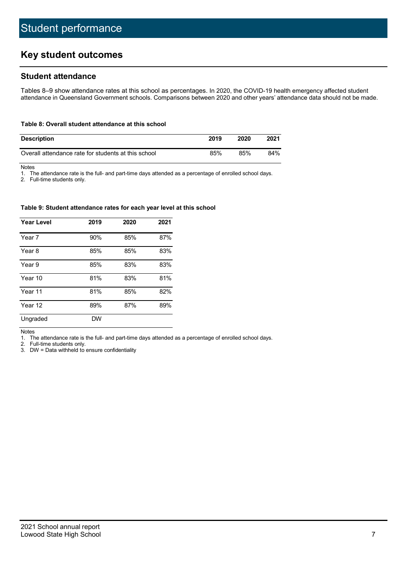# **Key student outcomes**

### **Student attendance**

Tables 8–9 show attendance rates at this school as percentages. In 2020, the COVID-19 health emergency affected student attendance in Queensland Government schools. Comparisons between 2020 and other years' attendance data should not be made.

### **Table 8: Overall student attendance at this school**

| <b>Description</b>                                  | 2019 | 2020 | 2021 |
|-----------------------------------------------------|------|------|------|
| Overall attendance rate for students at this school | 85%  | 85%  | 84%  |

Notes<br>1. Th

1. The attendance rate is the full- and part-time days attended as a percentage of enrolled school days.

2. Full-time students only.

#### **Table 9: Student attendance rates for each year level at this school**

| <b>Year Level</b> | 2019      | 2020 | 2021 |
|-------------------|-----------|------|------|
| Year 7            | 90%       | 85%  | 87%  |
| Year 8            | 85%       | 85%  | 83%  |
| Year 9            | 85%       | 83%  | 83%  |
| Year 10           | 81%       | 83%  | 81%  |
| Year 11           | 81%       | 85%  | 82%  |
| Year 12           | 89%       | 87%  | 89%  |
| Ungraded          | <b>DW</b> |      |      |

#### Notes

1. The attendance rate is the full- and part-time days attended as a percentage of enrolled school days.

Full-time students only.

3. DW = Data withheld to ensure confidentiality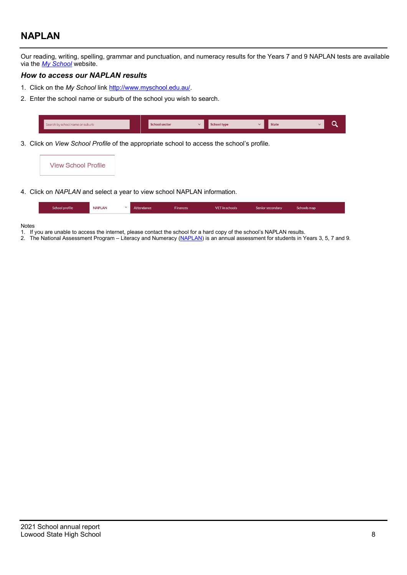# **NAPLAN**

Our reading, writing, spelling, grammar and punctuation, and numeracy results for the Years 7 and 9 NAPLAN tests are available via the *My [School](http://www.myschool.edu.au/)* website.

### *How to access our NAPLAN results*

- 1. Click on the *My School* link [http://www.myschool.edu.au/.](http://www.myschool.edu.au/)
- 2. Enter the school name or suburb of the school you wish to search.



3. Click on *View School Profile* of the appropriate school to access the school's profile.



4. Click on *NAPLAN* and select a year to view school NAPLAN information.

| School profile | <b>NAPLAN</b> | Attendance | <b>Finances</b> | VET in schools | Senior secondary | Schools map |
|----------------|---------------|------------|-----------------|----------------|------------------|-------------|
|                |               |            |                 |                |                  |             |

Notes

- 1. If you are unable to access the internet, please contact the school for a hard copy of the school's NAPLAN results.
- 2. The National Assessment Program Literacy and Numeracy [\(NAPLAN\)](http://www.nap.edu.au/naplan) is an annual assessment for students in Years 3, 5, 7 and 9.